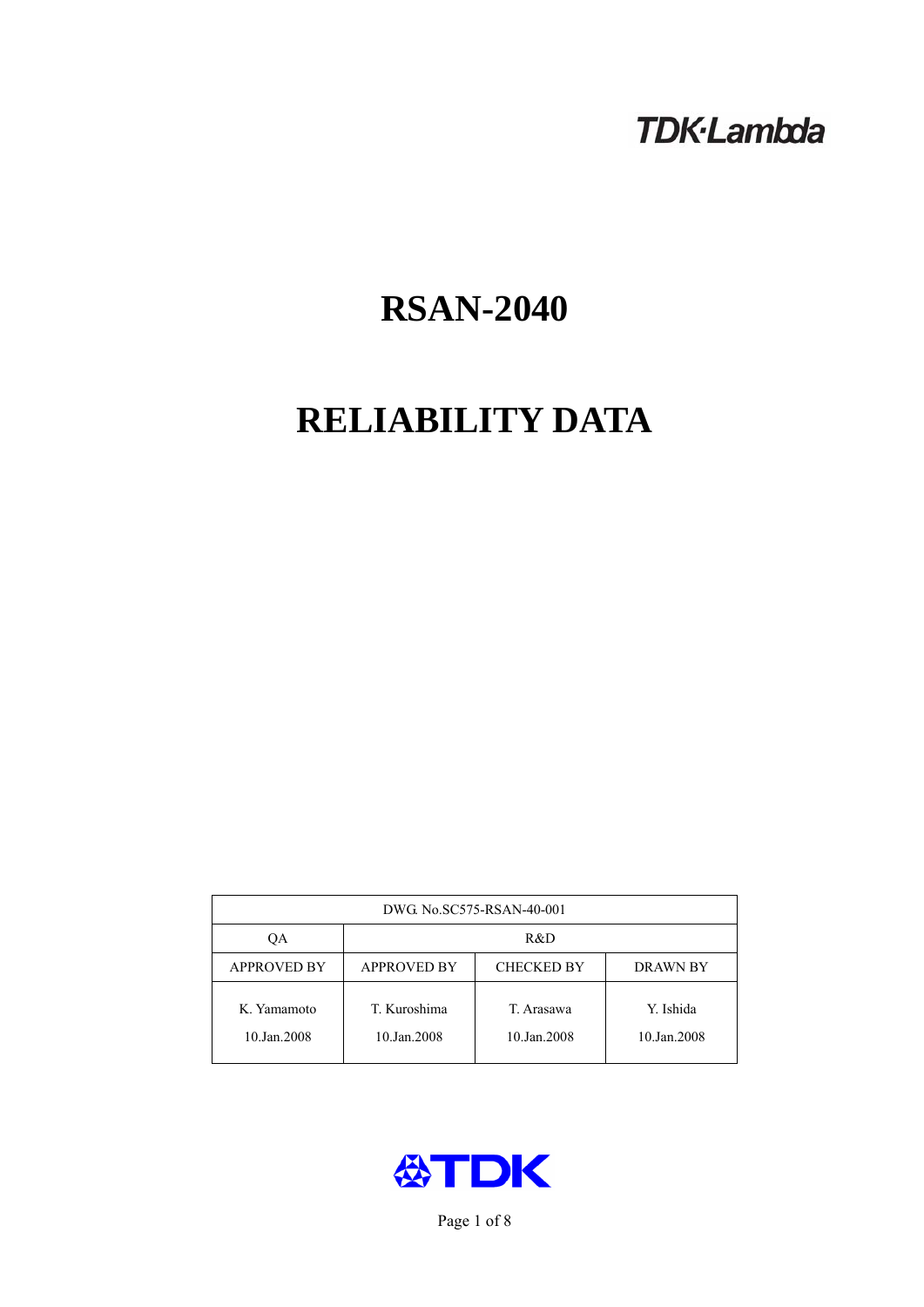# **TDK-Lambda**

# **RSAN-2040**

# **RELIABILITY DATA**

| DWG No.SC575-RSAN-40-001   |                                                            |                           |                          |  |  |
|----------------------------|------------------------------------------------------------|---------------------------|--------------------------|--|--|
| QA                         | R&D                                                        |                           |                          |  |  |
| <b>APPROVED BY</b>         | <b>APPROVED BY</b><br><b>CHECKED BY</b><br><b>DRAWN BY</b> |                           |                          |  |  |
| K. Yamamoto<br>10.Jan.2008 | T. Kuroshima<br>10.Jan.2008                                | T. Arasawa<br>10.Jan.2008 | Y. Ishida<br>10.Jan.2008 |  |  |



Page 1 of 8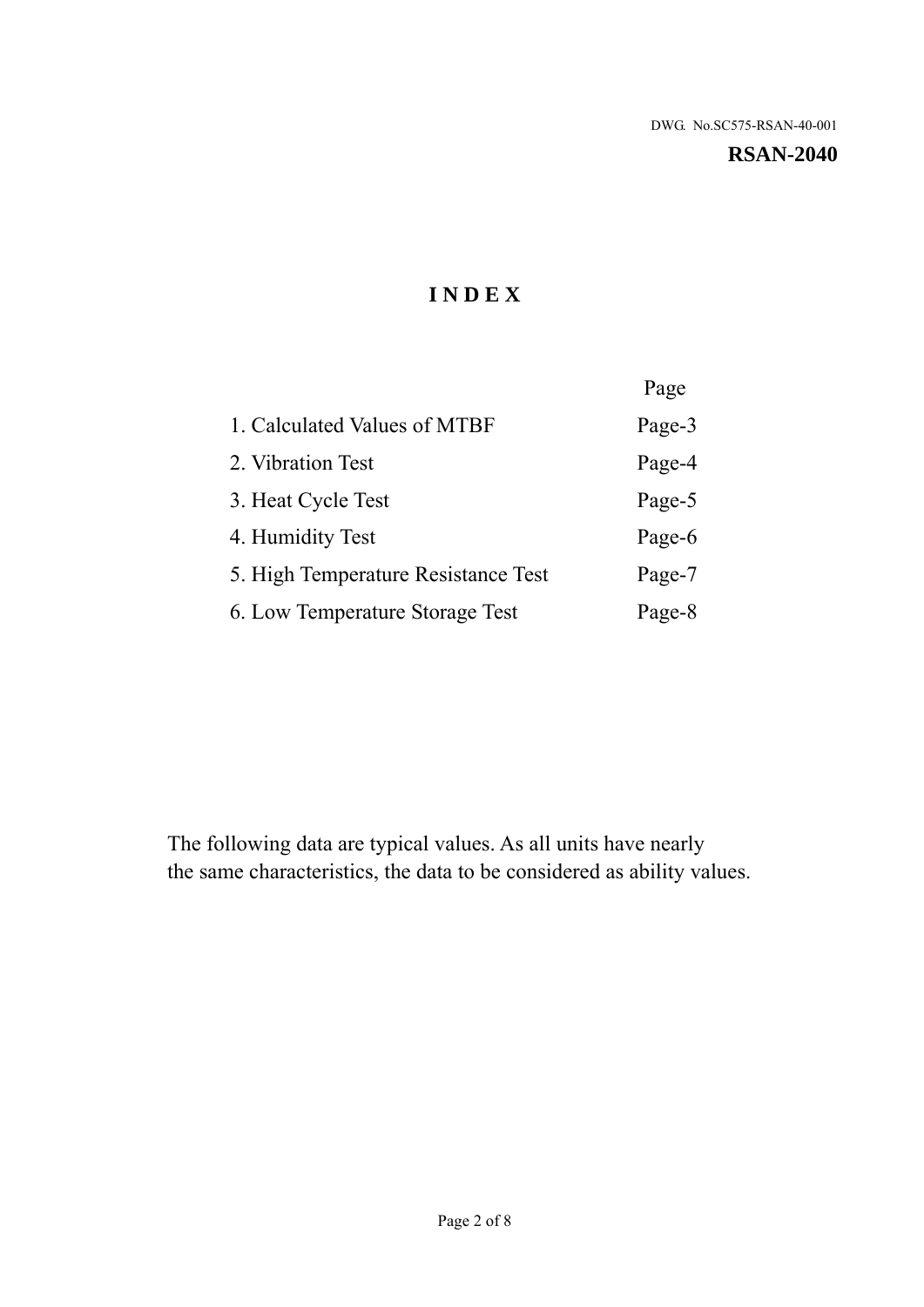**RSAN-2040** 

# **I N D E X**

|                                     | Page   |
|-------------------------------------|--------|
| 1. Calculated Values of MTBF        | Page-3 |
| 2. Vibration Test                   | Page-4 |
| 3. Heat Cycle Test                  | Page-5 |
| 4. Humidity Test                    | Page-6 |
| 5. High Temperature Resistance Test | Page-7 |
| 6. Low Temperature Storage Test     | Page-8 |

The following data are typical values. As all units have nearly the same characteristics, the data to be considered as ability values.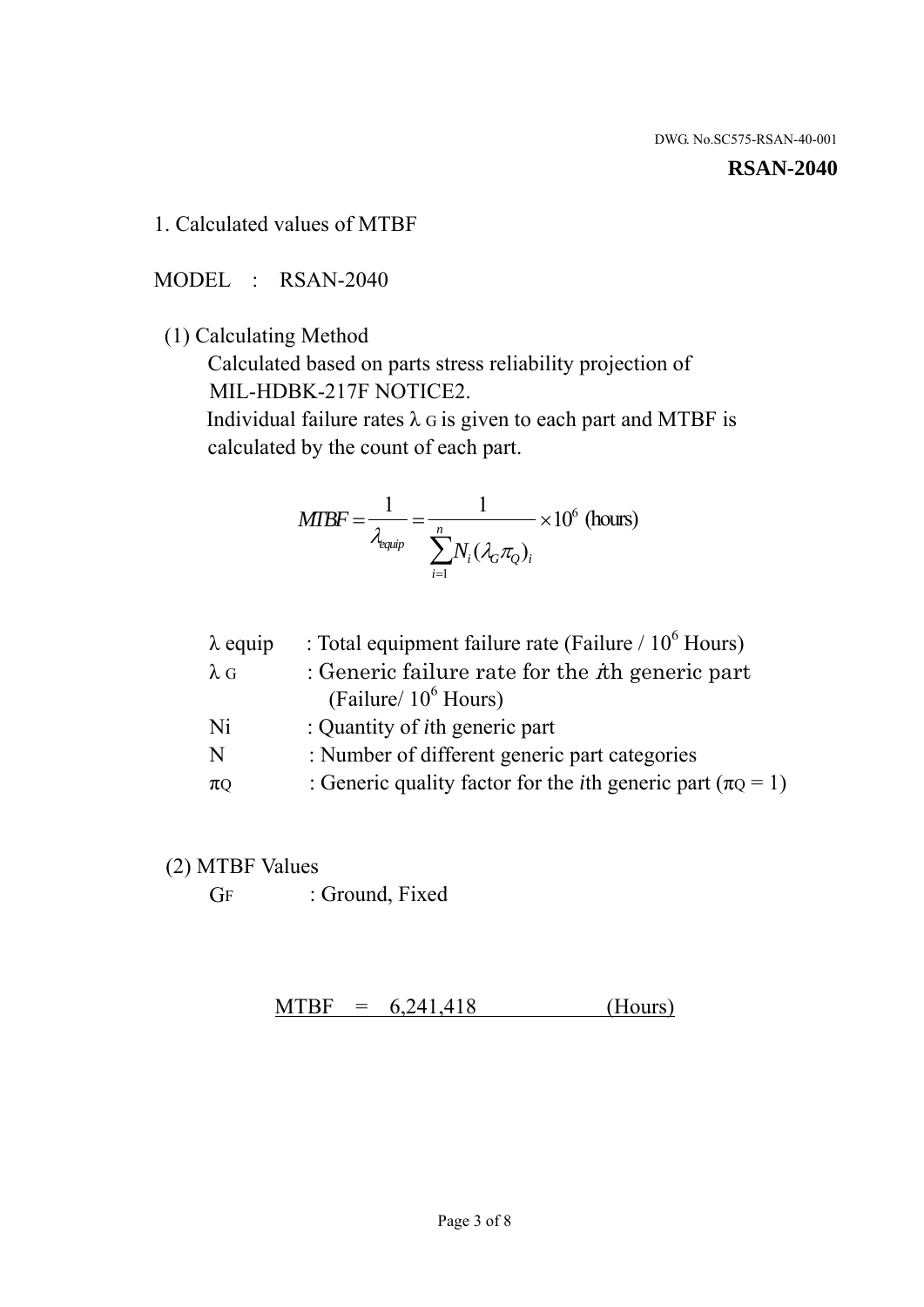#### **RSAN-2040**

1. Calculated values of MTBF

MODEL : RSAN-2040

(1) Calculating Method

 Calculated based on parts stress reliability projection of MIL-HDBK-217F NOTICE2.

Individual failure rates  $\lambda$  G is given to each part and MTBF is calculated by the count of each part.

$$
MTBF = \frac{1}{\lambda_{\text{equip}}} = \frac{1}{\sum_{i=1}^{n} N_i (\lambda_G \pi_Q)_i} \times 10^6 \text{ (hours)}
$$

| $\lambda$ equip | : Total equipment failure rate (Failure $/ 10^6$ Hours)                   |
|-----------------|---------------------------------------------------------------------------|
| $\lambda$ G     | : Generic failure rate for the $\hbar$ generic part                       |
|                 | (Failure/ $10^6$ Hours)                                                   |
| Ni              | : Quantity of <i>i</i> th generic part                                    |
| N               | : Number of different generic part categories                             |
| $\pi$ Q         | : Generic quality factor for the <i>i</i> th generic part ( $\pi Q = 1$ ) |

- (2) MTBF Values
	- GF : Ground, Fixed

 $MTBF = 6,241,418$  (Hours)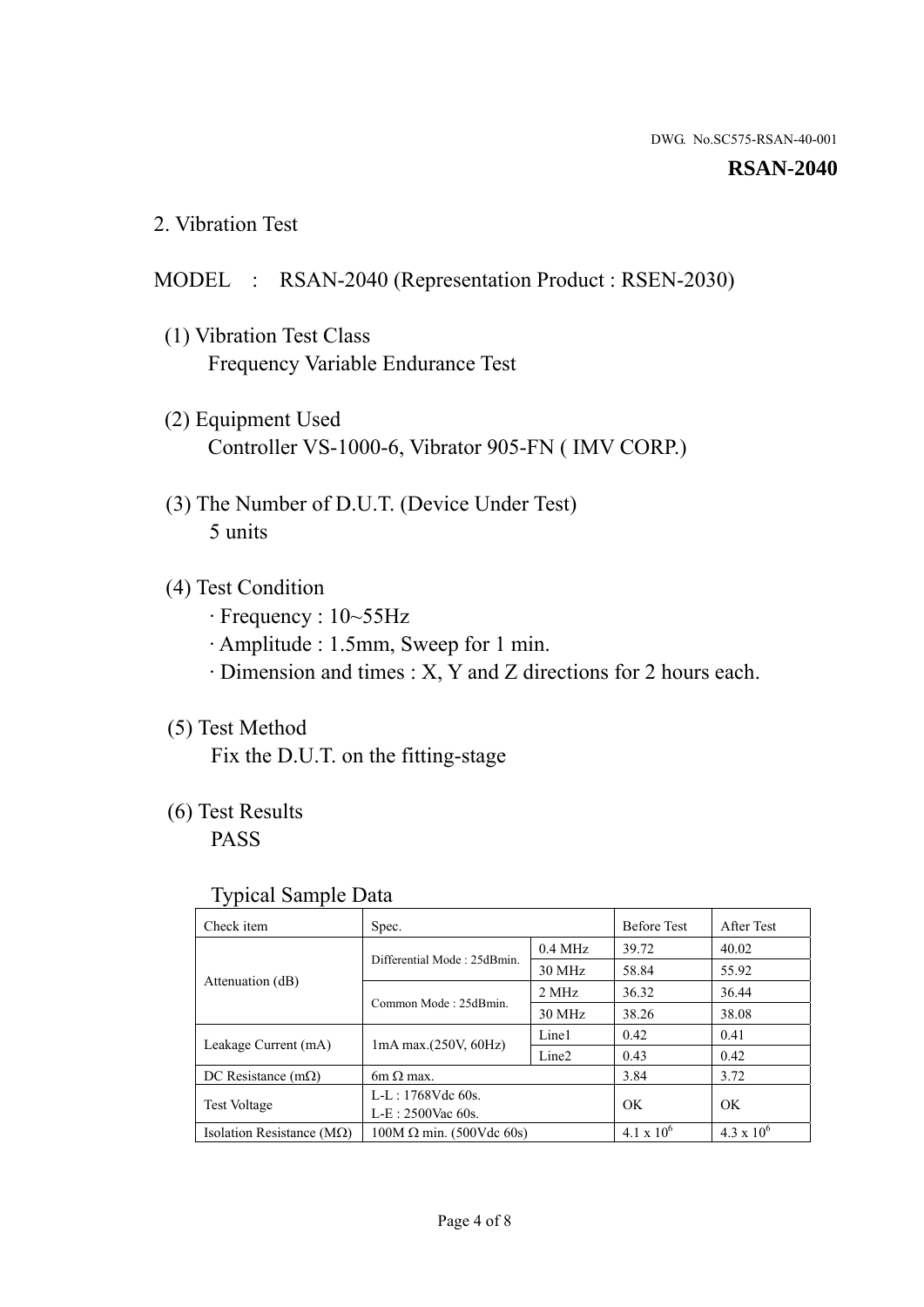#### **RSAN-2040**

2. Vibration Test

# MODEL : RSAN-2040 (Representation Product : RSEN-2030)

- (1) Vibration Test Class Frequency Variable Endurance Test
- (2) Equipment Used Controller VS-1000-6, Vibrator 905-FN ( IMV CORP.)
- (3) The Number of D.U.T. (Device Under Test) 5 units
- (4) Test Condition
	- · Frequency : 10~55Hz
	- · Amplitude : 1.5mm, Sweep for 1 min.
	- · Dimension and times : X, Y and Z directions for 2 hours each.

# (5) Test Method

Fix the D.U.T. on the fitting-stage

# (6) Test Results

PASS

### Typical Sample Data

| . .                           |                                                         |           |                     |                     |
|-------------------------------|---------------------------------------------------------|-----------|---------------------|---------------------|
| Check item                    | Spec.                                                   |           | <b>Before Test</b>  | After Test          |
|                               | Differential Mode: 25dBmin.                             | $0.4$ MHz | 39.72               | 40.02               |
|                               |                                                         | 30 MHz    | 58.84               | 55.92               |
| Attenuation (dB)              | Common Mode: 25dBmin.                                   | 2 MHz     | 36.32               | 36.44               |
|                               |                                                         | 30 MHz    | 38.26               | 38.08               |
| Leakage Current (mA)          | Line1<br>$1mA$ max. $(250V, 60Hz)$<br>Line <sub>2</sub> |           | 0.42                | 0.41                |
|                               |                                                         |           | 0.43                | 0.42                |
| DC Resistance $(m\Omega)$     | $6m \Omega$ max.                                        |           | 3.84                | 3.72                |
| <b>Test Voltage</b>           | $L-L: 1768Vdc$ 60s.                                     |           | OK                  | OK.                 |
|                               | $L-E$ : 2500Vac 60s.                                    |           |                     |                     |
| Isolation Resistance ( $MQ$ ) | $100M \Omega$ min. (500Vdc 60s)                         |           | $4.1 \times 10^{6}$ | $4.3 \times 10^{6}$ |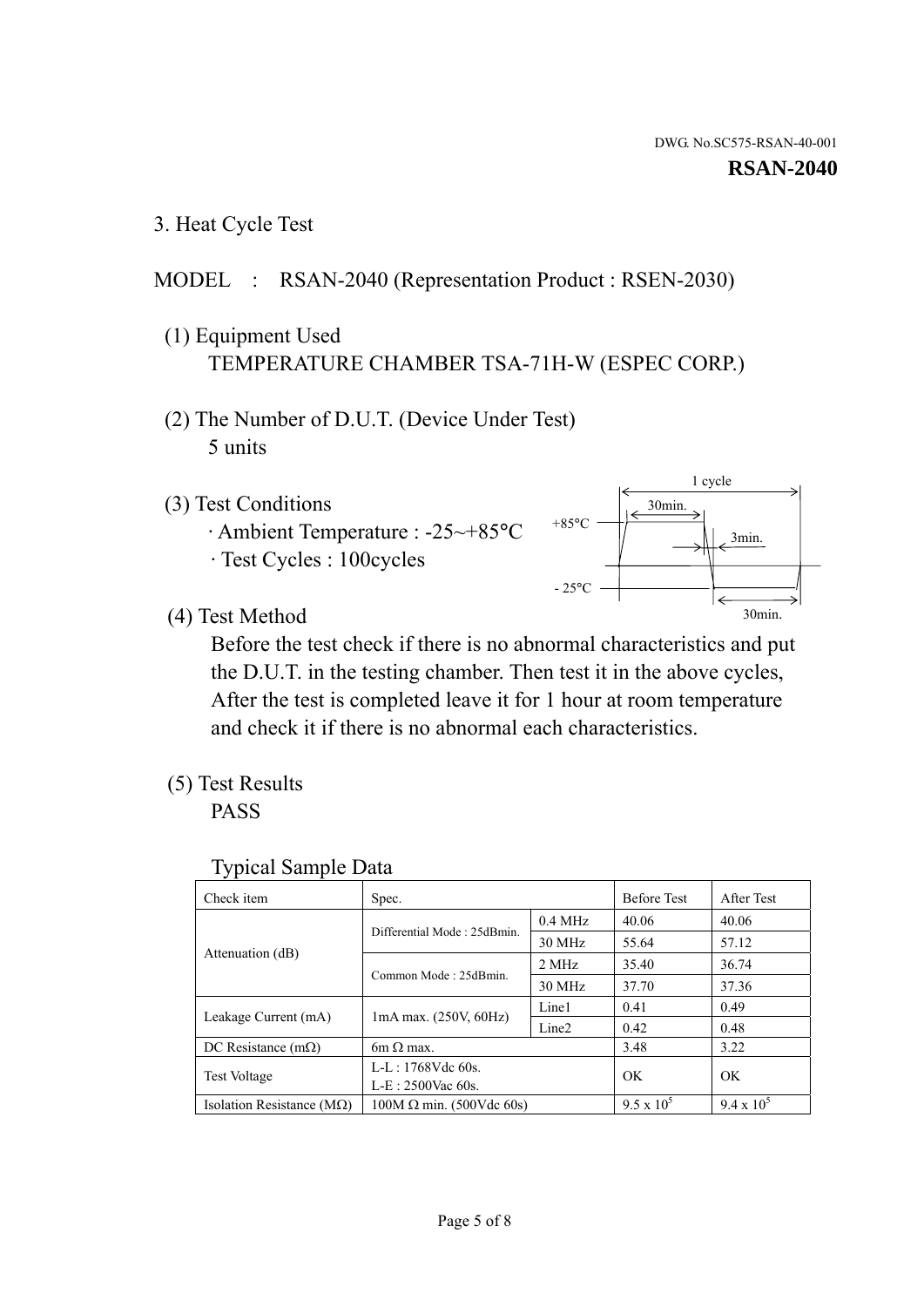1 cycle

30min.

3min.

30min.

#### **RSAN-2040**

3. Heat Cycle Test

# MODEL : RSAN-2040 (Representation Product : RSEN-2030)

- (1) Equipment Used TEMPERATURE CHAMBER TSA-71H-W (ESPEC CORP.)
- (2) The Number of D.U.T. (Device Under Test) 5 units
- (3) Test Conditions
	- · Ambient Temperature : -25~+85°C · Test Cycles : 100cycles
- (4) Test Method

 Before the test check if there is no abnormal characteristics and put the D.U.T. in the testing chamber. Then test it in the above cycles, After the test is completed leave it for 1 hour at room temperature and check it if there is no abnormal each characteristics.

 $+85$ °C

 $-25^{\circ}$ C

(5) Test Results

PASS

| <b>Typical Sample Data</b> |  |
|----------------------------|--|
|                            |  |

| Check item                         | Spec.                           |                   | <b>Before Test</b> | After Test        |
|------------------------------------|---------------------------------|-------------------|--------------------|-------------------|
|                                    | Differential Mode: 25dBmin.     | $0.4$ MHz         | 40.06              | 40.06             |
|                                    |                                 | 30 MHz            | 55.64              | 57.12             |
| Attenuation (dB)                   | Common Mode: 25dBmin.           | 2 MHz             | 35.40              | 36.74             |
|                                    |                                 | 30 MHz            | 37.70              | 37.36             |
| Leakage Current (mA)               | $1mA$ max. $(250V, 60Hz)$       | Line1             | 0.41               | 0.49              |
|                                    |                                 | Line <sub>2</sub> | 0.42               | 0.48              |
| DC Resistance $(m\Omega)$          | $6m \Omega$ max.                |                   | 3.48               | 3.22              |
| Test Voltage                       | $L-L: 1768Vdc$ 60s.             |                   | OK                 | OK                |
|                                    | $L-E: 2500$ Vac 60s.            |                   |                    |                   |
| Isolation Resistance ( $M\Omega$ ) | $100M \Omega$ min. (500Vdc 60s) |                   | $9.5 \times 10^5$  | $9.4 \times 10^5$ |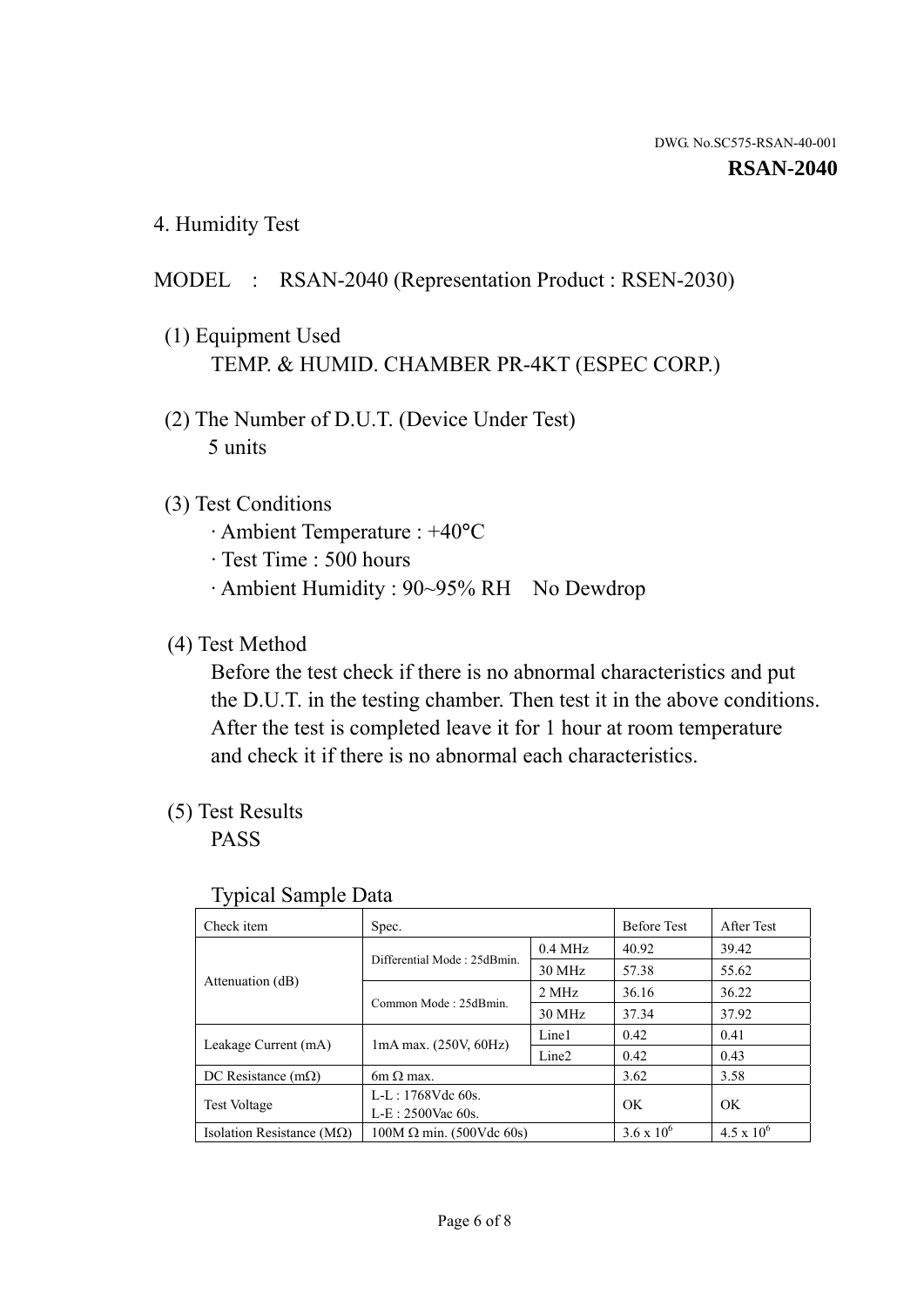4. Humidity Test

# MODEL : RSAN-2040 (Representation Product : RSEN-2030)

- (1) Equipment Used TEMP. & HUMID. CHAMBER PR-4KT (ESPEC CORP.)
- (2) The Number of D.U.T. (Device Under Test) 5 units

# (3) Test Conditions

- · Ambient Temperature : +40°C
- · Test Time : 500 hours
- · Ambient Humidity : 90~95% RH No Dewdrop

# (4) Test Method

 Before the test check if there is no abnormal characteristics and put the D.U.T. in the testing chamber. Then test it in the above conditions. After the test is completed leave it for 1 hour at room temperature and check it if there is no abnormal each characteristics.

# (5) Test Results

PASS

| . .                                |                                 |                   |                     |                     |
|------------------------------------|---------------------------------|-------------------|---------------------|---------------------|
| Check item                         | Spec.                           |                   | <b>Before Test</b>  | After Test          |
|                                    | Differential Mode: 25dBmin.     | $0.4$ MHz         | 40.92               | 39.42               |
|                                    |                                 | 30 MHz            | 57.38               | 55.62               |
| Attenuation (dB)                   | Common Mode: 25dBmin.           | 2 MHz             | 36.16               | 36.22               |
|                                    |                                 | 30 MHz            | 37.34               | 37.92               |
| Leakage Current (mA)               | $1mA$ max. $(250V, 60Hz)$       | Line1             | 0.42                | 0.41                |
|                                    |                                 | Line <sub>2</sub> | 0.42                | 0.43                |
| DC Resistance $(m\Omega)$          | 6m $\Omega$ max.                |                   | 3.62                | 3.58                |
| <b>Test Voltage</b>                | $L-L: 1768Vdc$ 60s.             |                   | OK                  | OK                  |
|                                    | $L-E: 2500$ Vac 60s.            |                   |                     |                     |
| Isolation Resistance ( $M\Omega$ ) | $100M \Omega$ min. (500Vdc 60s) |                   | $3.6 \times 10^{6}$ | $4.5 \times 10^{6}$ |

#### Typical Sample Data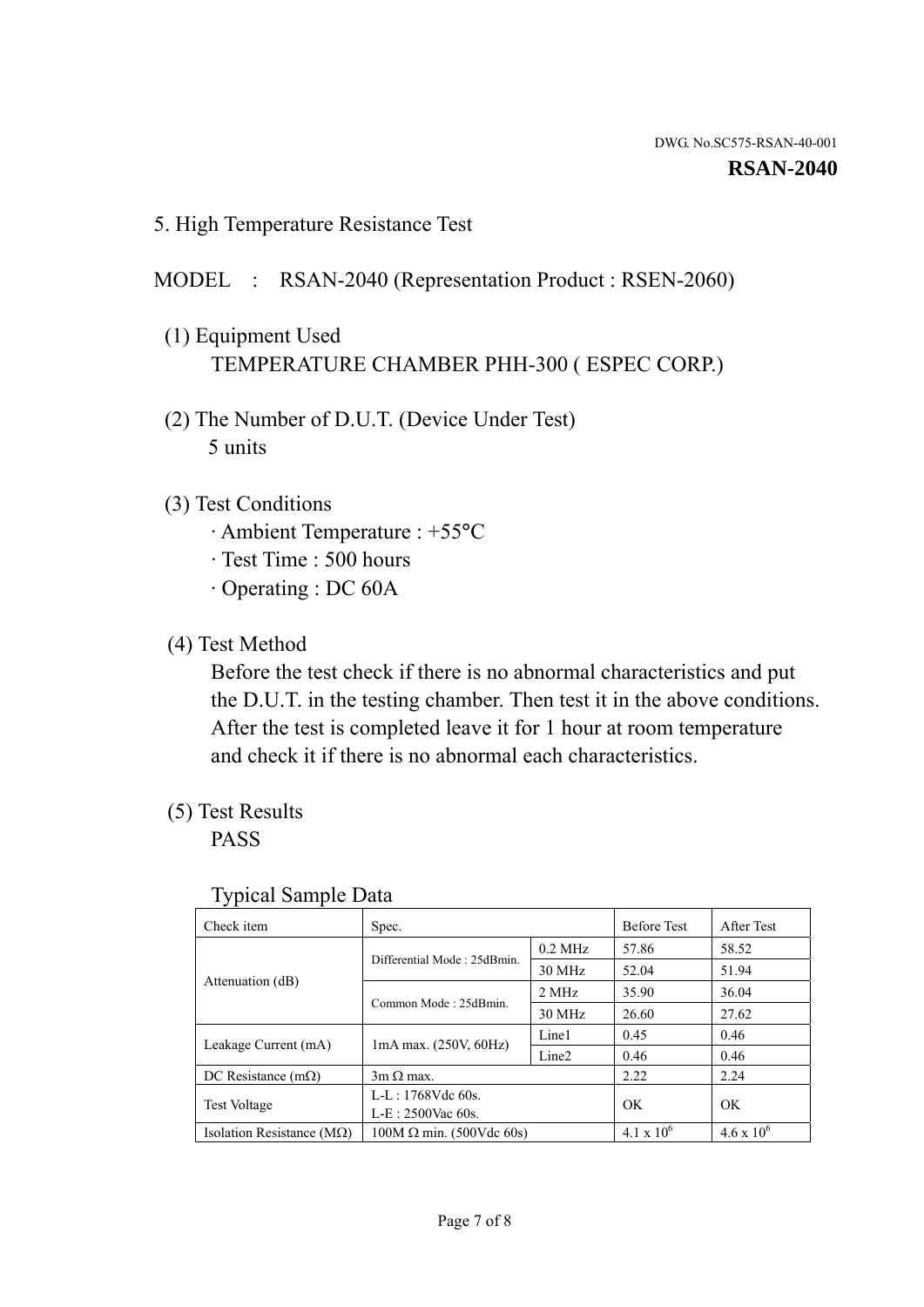5. High Temperature Resistance Test

### MODEL : RSAN-2040 (Representation Product : RSEN-2060)

- (1) Equipment Used TEMPERATURE CHAMBER PHH-300 ( ESPEC CORP.)
- (2) The Number of D.U.T. (Device Under Test) 5 units
- (3) Test Conditions
	- · Ambient Temperature : +55°C
	- · Test Time : 500 hours
	- · Operating : DC 60A
- (4) Test Method

 Before the test check if there is no abnormal characteristics and put the D.U.T. in the testing chamber. Then test it in the above conditions. After the test is completed leave it for 1 hour at room temperature and check it if there is no abnormal each characteristics.

(5) Test Results

PASS

| ╯┸                                 |                                                         |           |                     |                     |
|------------------------------------|---------------------------------------------------------|-----------|---------------------|---------------------|
| Check item                         | Spec.                                                   |           | <b>Before Test</b>  | After Test          |
|                                    | Differential Mode: 25dBmin.                             | $0.2$ MHz | 57.86               | 58.52               |
|                                    |                                                         | 30 MHz    | 52.04               | 51.94               |
| Attenuation (dB)                   | Common Mode: 25dBmin.                                   | 2 MHz     | 35.90               | 36.04               |
|                                    |                                                         | 30 MHz    | 26.60               | 27.62               |
| Leakage Current (mA)               | Line1<br>$1mA$ max. $(250V, 60Hz)$<br>Line <sub>2</sub> |           | 0.45                | 0.46                |
|                                    |                                                         | 0.46      | 0.46                |                     |
| DC Resistance $(m\Omega)$          | $3m \Omega$ max.                                        |           | 2.22                | 2.24                |
| <b>Test Voltage</b>                | $L-L: 1768Vdc$ 60s.                                     |           | OK                  | OK                  |
|                                    | $L-E: 2500$ Vac 60s.                                    |           |                     |                     |
| Isolation Resistance ( $M\Omega$ ) | $100M \Omega$ min. (500Vdc 60s)                         |           | $4.1 \times 10^{6}$ | $4.6 \times 10^{6}$ |

#### Typical Sample Data